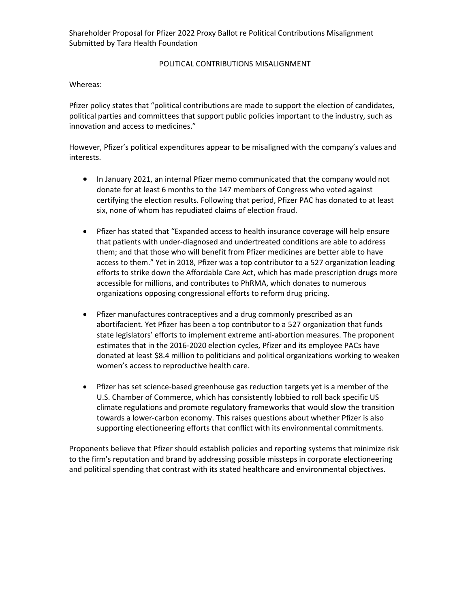Shareholder Proposal for Pfizer 2022 Proxy Ballot re Political Contributions Misalignment Submitted by Tara Health Foundation

## POLITICAL CONTRIBUTIONS MISALIGNMENT

Whereas:

Pfizer policy states that "political contributions are made to support the election of candidates, political parties and committees that support public policies important to the industry, such as innovation and access to medicines."

However, Pfizer's political expenditures appear to be misaligned with the company's values and interests.

- In January 2021, an internal Pfizer memo communicated that the company would not donate for at least 6 months to the 147 members of Congress who voted against certifying the election results. Following that period, Pfizer PAC has donated to at least six, none of whom has repudiated claims of election fraud.
- Pfizer has stated that "Expanded access to health insurance coverage will help ensure that patients with under-diagnosed and undertreated conditions are able to address them; and that those who will benefit from Pfizer medicines are better able to have access to them." Yet in 2018, Pfizer was a top contributor to a 527 organization leading efforts to strike down the Affordable Care Act, which has made prescription drugs more accessible for millions, and contributes to PhRMA, which donates to numerous organizations opposing congressional efforts to reform drug pricing.
- Pfizer manufactures contraceptives and a drug commonly prescribed as an abortifacient. Yet Pfizer has been a top contributor to a 527 organization that funds state legislators' efforts to implement extreme anti-abortion measures. The proponent estimates that in the 2016-2020 election cycles, Pfizer and its employee PACs have donated at least \$8.4 million to politicians and political organizations working to weaken women's access to reproductive health care.
- Pfizer has set science-based greenhouse gas reduction targets yet is a member of the U.S. Chamber of Commerce, which has consistently lobbied to roll back specific US climate regulations and promote regulatory frameworks that would slow the transition towards a lower-carbon economy. This raises questions about whether Pfizer is also supporting electioneering efforts that conflict with its environmental commitments.

Proponents believe that Pfizer should establish policies and reporting systems that minimize risk to the firm's reputation and brand by addressing possible missteps in corporate electioneering and political spending that contrast with its stated healthcare and environmental objectives.